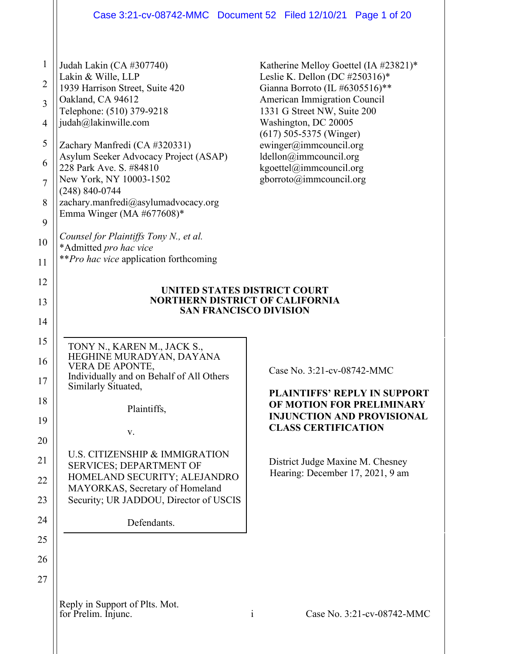## Case 3:21-cv-08742-MMC Document 52 Filed 12/10/21 Page 1 of 20

| $\mathbf{1}$   | Judah Lakin (CA #307740)                                               | Katherine Melloy Goettel (IA #23821)*                                |  |  |
|----------------|------------------------------------------------------------------------|----------------------------------------------------------------------|--|--|
| $\overline{2}$ | Lakin & Wille, LLP                                                     | Leslie K. Dellon (DC #250316)*                                       |  |  |
| $\overline{3}$ | 1939 Harrison Street, Suite 420<br>Oakland, CA 94612                   | Gianna Borroto (IL #6305516)**<br>American Immigration Council       |  |  |
|                | Telephone: (510) 379-9218<br>judah@lakinwille.com                      | 1331 G Street NW, Suite 200<br>Washington, DC 20005                  |  |  |
| $\overline{4}$ |                                                                        | $(617)$ 505-5375 (Winger)                                            |  |  |
| 5              | Zachary Manfredi (CA #320331)<br>Asylum Seeker Advocacy Project (ASAP) | ewinger@immcouncil.org<br>ldellon@immcouncil.org                     |  |  |
| 6              | 228 Park Ave. S. #84810                                                | kgoettel@immcouncil.org                                              |  |  |
| $\overline{7}$ | New York, NY 10003-1502<br>$(248) 840 - 0744$                          | gborroto@immcouncil.org                                              |  |  |
| 8              | zachary.manfredi@asylumadvocacy.org<br>Emma Winger (MA $#677608$ )*    |                                                                      |  |  |
| 9              |                                                                        |                                                                      |  |  |
| 10             | Counsel for Plaintiffs Tony N., et al.<br>*Admitted pro hac vice       |                                                                      |  |  |
| 11             | <i>**Pro hac vice</i> application forthcoming                          |                                                                      |  |  |
| 12             |                                                                        |                                                                      |  |  |
| 13             | UNITED STATES DISTRICT COURT<br><b>NORTHERN DISTRICT OF CALIFORNIA</b> |                                                                      |  |  |
| 14             | <b>SAN FRANCISCO DIVISION</b>                                          |                                                                      |  |  |
| 15             |                                                                        |                                                                      |  |  |
| 16             | TONY N., KAREN M., JACK S.,<br>HEGHINE MURADYAN, DAYANA                |                                                                      |  |  |
| 17             | VERA DE APONTE,<br>Individually and on Behalf of All Others            | Case No. 3:21-cv-08742-MMC                                           |  |  |
| 18             | Similarly Situated,                                                    | <b>PLAINTIFFS' REPLY IN SUPPORT</b>                                  |  |  |
|                | Plaintiffs,                                                            | OF MOTION FOR PRELIMINARY<br><b>INJUNCTION AND PROVISIONAL</b>       |  |  |
| 19             | V.                                                                     | <b>CLASS CERTIFICATION</b>                                           |  |  |
| 20             | U.S. CITIZENSHIP & IMMIGRATION                                         |                                                                      |  |  |
| 21             | <b>SERVICES; DEPARTMENT OF</b>                                         | District Judge Maxine M. Chesney<br>Hearing: December 17, 2021, 9 am |  |  |
| 22             | HOMELAND SECURITY; ALEJANDRO<br>MAYORKAS, Secretary of Homeland        |                                                                      |  |  |
| 23             | Security; UR JADDOU, Director of USCIS                                 |                                                                      |  |  |
| 24             | Defendants.                                                            |                                                                      |  |  |
| 25             |                                                                        |                                                                      |  |  |
| 26             |                                                                        |                                                                      |  |  |
| 27             |                                                                        |                                                                      |  |  |
|                | Reply in Support of Plts. Mot.                                         |                                                                      |  |  |
|                | for Prelim. Injunc.                                                    | Case No. 3:21-cv-08742-MMC<br>$\mathbf{1}$                           |  |  |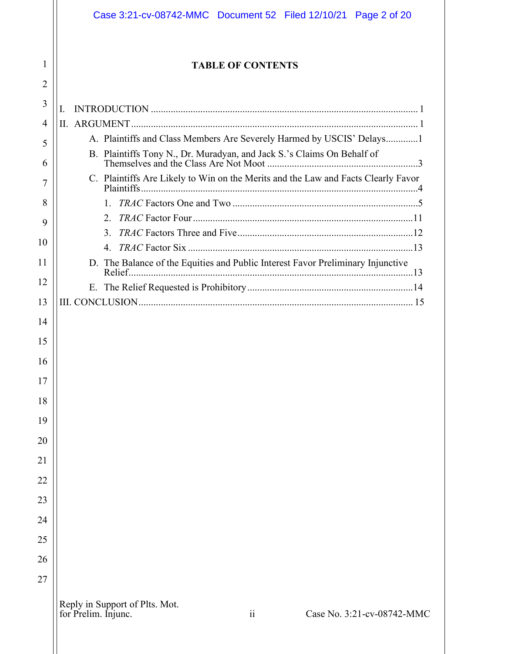|                     | Case 3:21-cv-08742-MMC  Document 52  Filed 12/10/21  Page 2 of 20                         |  |  |  |
|---------------------|-------------------------------------------------------------------------------------------|--|--|--|
| 1<br>$\overline{2}$ | <b>TABLE OF CONTENTS</b>                                                                  |  |  |  |
| 3                   |                                                                                           |  |  |  |
| $\overline{4}$      | L                                                                                         |  |  |  |
| 5                   | A. Plaintiffs and Class Members Are Severely Harmed by USCIS' Delays1                     |  |  |  |
| 6                   | B. Plaintiffs Tony N., Dr. Muradyan, and Jack S.'s Claims On Behalf of                    |  |  |  |
| 7                   | C. Plaintiffs Are Likely to Win on the Merits and the Law and Facts Clearly Favor         |  |  |  |
| 8                   |                                                                                           |  |  |  |
| 9                   | 2.                                                                                        |  |  |  |
|                     | $\mathbf{3}$ .                                                                            |  |  |  |
| 10                  | $\overline{4}$ .                                                                          |  |  |  |
| 11                  | D. The Balance of the Equities and Public Interest Favor Preliminary Injunctive           |  |  |  |
| 12                  |                                                                                           |  |  |  |
| 13                  |                                                                                           |  |  |  |
| 14                  |                                                                                           |  |  |  |
| 15                  |                                                                                           |  |  |  |
| 16                  |                                                                                           |  |  |  |
| 17                  |                                                                                           |  |  |  |
| 18                  |                                                                                           |  |  |  |
| 19                  |                                                                                           |  |  |  |
| 20                  |                                                                                           |  |  |  |
| 21                  |                                                                                           |  |  |  |
| 22                  |                                                                                           |  |  |  |
| 23                  |                                                                                           |  |  |  |
| 24                  |                                                                                           |  |  |  |
| 25                  |                                                                                           |  |  |  |
| 26                  |                                                                                           |  |  |  |
| 27                  |                                                                                           |  |  |  |
|                     | Reply in Support of Plts. Mot.<br>ii<br>for Prelim. Injunc.<br>Case No. 3:21-cv-08742-MMC |  |  |  |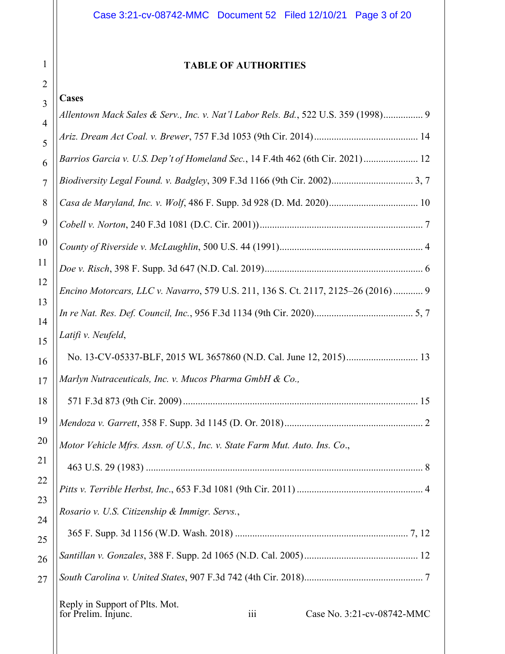## **TABLE OF AUTHORITIES**

# $\frac{3}{3}$  **Cases**

1

| J              | Allentown Mack Sales & Serv., Inc. v. Nat'l Labor Rels. Bd., 522 U.S. 359 (1998) 9                      |  |  |
|----------------|---------------------------------------------------------------------------------------------------------|--|--|
| $\overline{4}$ |                                                                                                         |  |  |
| 5              |                                                                                                         |  |  |
| 6              | Barrios Garcia v. U.S. Dep't of Homeland Sec., 14 F.4th 462 (6th Cir. 2021) 12                          |  |  |
| $\tau$         |                                                                                                         |  |  |
| 8              |                                                                                                         |  |  |
| 9              |                                                                                                         |  |  |
| 10             |                                                                                                         |  |  |
| 11             |                                                                                                         |  |  |
| 12             | Encino Motorcars, LLC v. Navarro, 579 U.S. 211, 136 S. Ct. 2117, 2125-26 (2016)  9                      |  |  |
| 13             |                                                                                                         |  |  |
| 14<br>15       | Latifi v. Neufeld,                                                                                      |  |  |
| 16             |                                                                                                         |  |  |
| 17             | Marlyn Nutraceuticals, Inc. v. Mucos Pharma GmbH & Co.,                                                 |  |  |
| 18             |                                                                                                         |  |  |
| 19             |                                                                                                         |  |  |
| 20             | Motor Vehicle Mfrs. Assn. of U.S., Inc. v. State Farm Mut. Auto. Ins. Co.,                              |  |  |
| 21             |                                                                                                         |  |  |
| 22             | Rosario v. U.S. Citizenship & Immigr. Servs.,                                                           |  |  |
| 23             |                                                                                                         |  |  |
| 24<br>25       |                                                                                                         |  |  |
| 26             |                                                                                                         |  |  |
| 27             |                                                                                                         |  |  |
|                | Reply in Support of Plts. Mot.<br>$\overline{111}$<br>Case No. 3:21-cv-08742-MMC<br>for Prelim. Injunc. |  |  |
|                |                                                                                                         |  |  |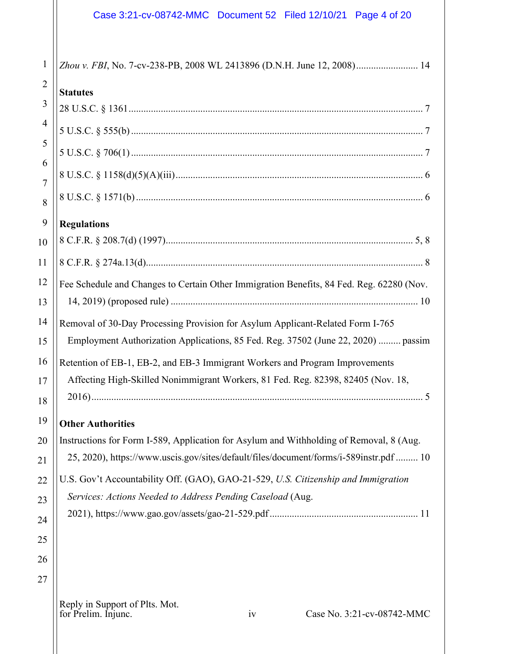## Case 3:21-cv-08742-MMC Document 52 Filed 12/10/21 Page 4 of 20

| 1              | Zhou v. FBI, No. 7-cv-238-PB, 2008 WL 2413896 (D.N.H. June 12, 2008) 14                                                                          |  |  |
|----------------|--------------------------------------------------------------------------------------------------------------------------------------------------|--|--|
| $\overline{2}$ | <b>Statutes</b>                                                                                                                                  |  |  |
| 3              |                                                                                                                                                  |  |  |
| $\overline{4}$ |                                                                                                                                                  |  |  |
| 5              |                                                                                                                                                  |  |  |
| 6              |                                                                                                                                                  |  |  |
| 7<br>8         |                                                                                                                                                  |  |  |
| 9              | <b>Regulations</b>                                                                                                                               |  |  |
| 10             |                                                                                                                                                  |  |  |
| 11             |                                                                                                                                                  |  |  |
| 12             | Fee Schedule and Changes to Certain Other Immigration Benefits, 84 Fed. Reg. 62280 (Nov.                                                         |  |  |
| 13             |                                                                                                                                                  |  |  |
| 14             | Removal of 30-Day Processing Provision for Asylum Applicant-Related Form I-765                                                                   |  |  |
| 15             | Employment Authorization Applications, 85 Fed. Reg. 37502 (June 22, 2020)  passim                                                                |  |  |
| 16             | Retention of EB-1, EB-2, and EB-3 Immigrant Workers and Program Improvements                                                                     |  |  |
| 17             | Affecting High-Skilled Nonimmigrant Workers, 81 Fed. Reg. 82398, 82405 (Nov. 18,                                                                 |  |  |
| 18             |                                                                                                                                                  |  |  |
| 19             | <b>Other Authorities</b>                                                                                                                         |  |  |
| 20             | Instructions for Form I-589, Application for Asylum and Withholding of Removal, 8 (Aug.                                                          |  |  |
| 21             | 25, 2020), https://www.uscis.gov/sites/default/files/document/forms/i-589instr.pdf  10                                                           |  |  |
| 22             | U.S. Gov't Accountability Off. (GAO), GAO-21-529, U.S. Citizenship and Immigration<br>Services: Actions Needed to Address Pending Caseload (Aug. |  |  |
| 23             |                                                                                                                                                  |  |  |
| 24<br>25       |                                                                                                                                                  |  |  |
| 26             |                                                                                                                                                  |  |  |
| 27             |                                                                                                                                                  |  |  |
|                | Reply in Support of Plts. Mot.<br>for Prelim. Injunc.<br>iv<br>Case No. 3:21-cv-08742-MMC                                                        |  |  |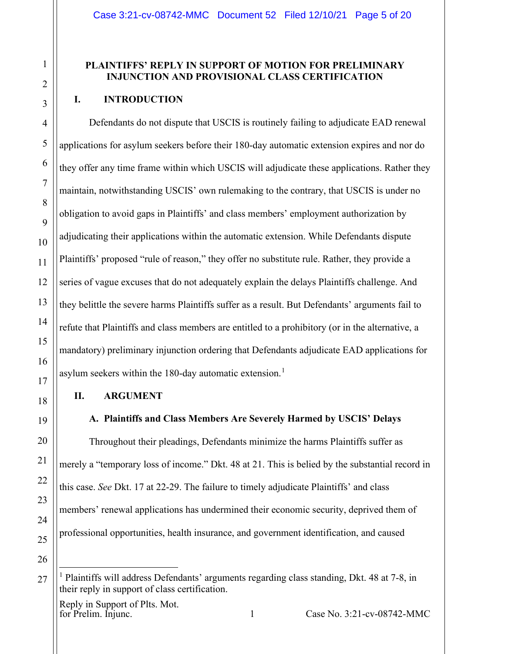### **PLAINTIFFS' REPLY IN SUPPORT OF MOTION FOR PRELIMINARY INJUNCTION AND PROVISIONAL CLASS CERTIFICATION**

#### <span id="page-4-0"></span>**I. INTRODUCTION**

Defendants do not dispute that USCIS is routinely failing to adjudicate EAD renewal applications for asylum seekers before their 180-day automatic extension expires and nor do they offer any time frame within which USCIS will adjudicate these applications. Rather they maintain, notwithstanding USCIS' own rulemaking to the contrary, that USCIS is under no obligation to avoid gaps in Plaintiffs' and class members' employment authorization by adjudicating their applications within the automatic extension. While Defendants dispute Plaintiffs' proposed "rule of reason," they offer no substitute rule. Rather, they provide a series of vague excuses that do not adequately explain the delays Plaintiffs challenge. And they belittle the severe harms Plaintiffs suffer as a result. But Defendants' arguments fail to refute that Plaintiffs and class members are entitled to a prohibitory (or in the alternative, a mandatory) preliminary injunction ordering that Defendants adjudicate EAD applications for asylum seekers within the [1](#page-4-3)80-day automatic extension.<sup>1</sup>

#### <span id="page-4-1"></span>**II. ARGUMENT**

#### **A. Plaintiffs and Class Members Are Severely Harmed by USCIS' Delays**

<span id="page-4-2"></span>Throughout their pleadings, Defendants minimize the harms Plaintiffs suffer as merely a "temporary loss of income." Dkt. 48 at 21. This is belied by the substantial record in this case. *See* Dkt. 17 at 22-29. The failure to timely adjudicate Plaintiffs' and class members' renewal applications has undermined their economic security, deprived them of professional opportunities, health insurance, and government identification, and caused

Reply in Support of Plts. Mot.<br>for Prelim. Injunc.

<span id="page-4-3"></span>

<sup>&</sup>lt;sup>1</sup> Plaintiffs will address Defendants' arguments regarding class standing, Dkt. 48 at 7-8, in their reply in support of class certification.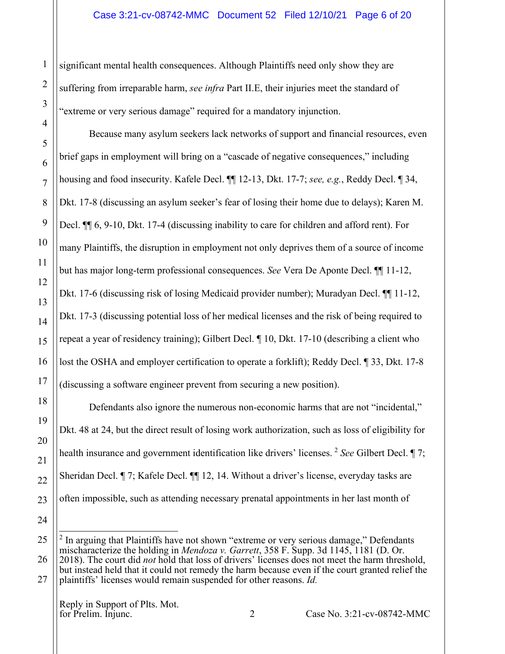significant mental health consequences. Although Plaintiffs need only show they are suffering from irreparable harm, *see infra* Part II.E, their injuries meet the standard of "extreme or very serious damage" required for a mandatory injunction.

Because many asylum seekers lack networks of support and financial resources, even brief gaps in employment will bring on a "cascade of negative consequences," including housing and food insecurity. Kafele Decl. ¶¶ 12-13, Dkt. 17-7; *see, e.g.*, Reddy Decl. ¶ 34, Dkt. 17-8 (discussing an asylum seeker's fear of losing their home due to delays); Karen M. Decl. ¶¶ 6, 9-10, Dkt. 17-4 (discussing inability to care for children and afford rent). For many Plaintiffs, the disruption in employment not only deprives them of a source of income but has major long-term professional consequences. *See* Vera De Aponte Decl. ¶¶ 11-12, Dkt. 17-6 (discussing risk of losing Medicaid provider number); Muradyan Decl. ¶¶ 11-12, Dkt. 17-3 (discussing potential loss of her medical licenses and the risk of being required to repeat a year of residency training); Gilbert Decl. ¶ 10, Dkt. 17-10 (describing a client who lost the OSHA and employer certification to operate a forklift); Reddy Decl. ¶ 33, Dkt. 17-8 (discussing a software engineer prevent from securing a new position).

Defendants also ignore the numerous non-economic harms that are not "incidental," Dkt. 48 at 24, but the direct result of losing work authorization, such as loss of eligibility for health insurance and government identification like drivers' licenses. <sup>[2](#page-5-0)</sup> *See* Gilbert Decl. ¶ 7; Sheridan Decl. ¶ 7; Kafele Decl. ¶¶ 12, 14. Without a driver's license, everyday tasks are often impossible, such as attending necessary prenatal appointments in her last month of

Reply in Support of Plts. Mot.<br>for Prelim. Injunc.

<span id="page-5-0"></span><sup>&</sup>lt;sup>2</sup> In arguing that Plaintiffs have not shown "extreme or very serious damage," Defendants mischaracterize the holding in *Mendoza v. Garrett*, 358 F. Supp. 3d 1145, 1181 (D. Or.

<sup>2018).</sup> The court did *not* hold that loss of drivers' licenses does not meet the harm threshold, but instead held that it could not remedy the harm because even if the court granted relief the plaintiffs' licenses would remain suspended for other reasons. *Id.*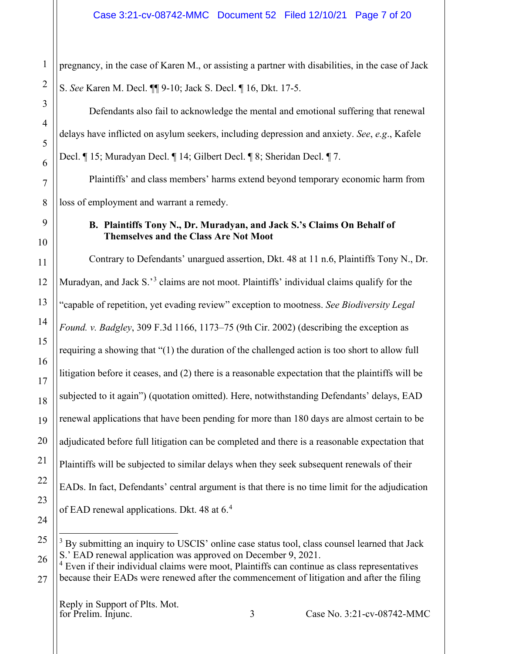pregnancy, in the case of Karen M., or assisting a partner with disabilities, in the case of Jack S. *See* Karen M. Decl. ¶¶ 9-10; Jack S. Decl. ¶ 16, Dkt. 17-5.

Defendants also fail to acknowledge the mental and emotional suffering that renewal delays have inflicted on asylum seekers, including depression and anxiety. *See*, *e.g*., Kafele Decl. ¶ 15; Muradyan Decl. ¶ 14; Gilbert Decl. ¶ 8; Sheridan Decl. ¶ 7.

Plaintiffs' and class members' harms extend beyond temporary economic harm from loss of employment and warrant a remedy.

## <span id="page-6-0"></span>**B. Plaintiffs Tony N., Dr. Muradyan, and Jack S.'s Claims On Behalf of Themselves and the Class Are Not Moot**

Contrary to Defendants' unargued assertion, Dkt. 48 at 11 n.6, Plaintiffs Tony N., Dr. Muradyan, and Jack S.<sup>[3](#page-6-1)</sup> claims are not moot. Plaintiffs' individual claims qualify for the "capable of repetition, yet evading review" exception to mootness. *See Biodiversity Legal Found. v. Badgley*, 309 F.3d 1166, 1173–75 (9th Cir. 2002) (describing the exception as requiring a showing that "(1) the duration of the challenged action is too short to allow full litigation before it ceases, and (2) there is a reasonable expectation that the plaintiffs will be subjected to it again") (quotation omitted). Here, notwithstanding Defendants' delays, EAD renewal applications that have been pending for more than 180 days are almost certain to be adjudicated before full litigation can be completed and there is a reasonable expectation that Plaintiffs will be subjected to similar delays when they seek subsequent renewals of their EADs. In fact, Defendants' central argument is that there is no time limit for the adjudication of EAD renewal applications. Dkt. [4](#page-6-2)8 at 6.<sup>4</sup>

<span id="page-6-1"></span><sup>3</sup> By submitting an inquiry to USCIS' online case status tool, class counsel learned that Jack S.' EAD renewal application was approved on December 9, 2021.

<span id="page-6-2"></span> $4$  Even if their individual claims were moot, Plaintiffs can continue as class representatives because their EADs were renewed after the commencement of litigation and after the filing

Reply in Support of Plts. Mot.<br>for Prelim. Injunc.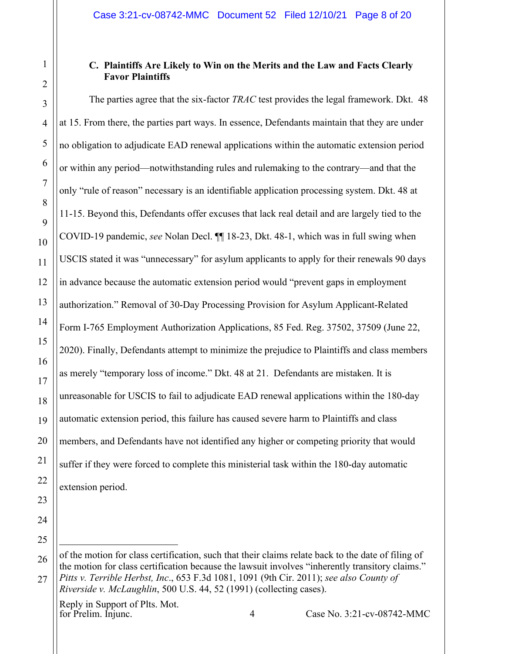## <span id="page-7-0"></span>**C. Plaintiffs Are Likely to Win on the Merits and the Law and Facts Clearly Favor Plaintiffs**

The parties agree that the six-factor *TRAC* test provides the legal framework. Dkt. 48 at 15. From there, the parties part ways. In essence, Defendants maintain that they are under no obligation to adjudicate EAD renewal applications within the automatic extension period or within any period—notwithstanding rules and rulemaking to the contrary—and that the only "rule of reason" necessary is an identifiable application processing system. Dkt. 48 at 11-15. Beyond this, Defendants offer excuses that lack real detail and are largely tied to the COVID-19 pandemic, *see* Nolan Decl. ¶¶ 18-23, Dkt. 48-1, which was in full swing when USCIS stated it was "unnecessary" for asylum applicants to apply for their renewals 90 days in advance because the automatic extension period would "prevent gaps in employment authorization." Removal of 30-Day Processing Provision for Asylum Applicant-Related Form I-765 Employment Authorization Applications, 85 Fed. Reg. 37502, 37509 (June 22, 2020). Finally, Defendants attempt to minimize the prejudice to Plaintiffs and class members as merely "temporary loss of income." Dkt. 48 at 21. Defendants are mistaken. It is unreasonable for USCIS to fail to adjudicate EAD renewal applications within the 180-day automatic extension period, this failure has caused severe harm to Plaintiffs and class members, and Defendants have not identified any higher or competing priority that would suffer if they were forced to complete this ministerial task within the 180-day automatic extension period.

Reply in Support of Plts. Mot.<br>for Prelim. Injunc.

for Prelim. Injunc. 4 Case No. 3:21-cv-08742-MMC

of the motion for class certification, such that their claims relate back to the date of filing of the motion for class certification because the lawsuit involves "inherently transitory claims." *Pitts v. Terrible Herbst, Inc*., 653 F.3d 1081, 1091 (9th Cir. 2011); *see also County of Riverside v. McLaughlin*, 500 U.S. 44, 52 (1991) (collecting cases).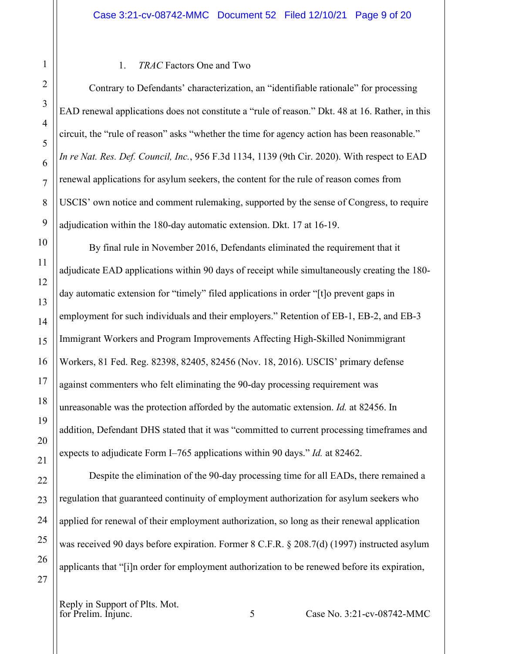#### <span id="page-8-0"></span>1.*TRAC* Factors One and Two

Contrary to Defendants' characterization, an "identifiable rationale" for processing EAD renewal applications does not constitute a "rule of reason." Dkt. 48 at 16. Rather, in this circuit, the "rule of reason" asks "whether the time for agency action has been reasonable." *In re Nat. Res. Def. Council, Inc.*, 956 F.3d 1134, 1139 (9th Cir. 2020). With respect to EAD renewal applications for asylum seekers, the content for the rule of reason comes from USCIS' own notice and comment rulemaking, supported by the sense of Congress, to require adjudication within the 180-day automatic extension. Dkt. 17 at 16-19.

By final rule in November 2016, Defendants eliminated the requirement that it adjudicate EAD applications within 90 days of receipt while simultaneously creating the 180 day automatic extension for "timely" filed applications in order "[t]o prevent gaps in employment for such individuals and their employers." Retention of EB-1, EB-2, and EB-3 Immigrant Workers and Program Improvements Affecting High-Skilled Nonimmigrant Workers, 81 Fed. Reg. 82398, 82405, 82456 (Nov. 18, 2016). USCIS' primary defense against commenters who felt eliminating the 90-day processing requirement was unreasonable was the protection afforded by the automatic extension. *Id.* at 82456. In addition, Defendant DHS stated that it was "committed to current processing timeframes and expects to adjudicate Form I–765 applications within 90 days." *Id.* at 82462.

Despite the elimination of the 90-day processing time for all EADs, there remained a regulation that guaranteed continuity of employment authorization for asylum seekers who applied for renewal of their employment authorization, so long as their renewal application was received 90 days before expiration. Former 8 C.F.R. § 208.7(d) (1997) instructed asylum applicants that "[i]n order for employment authorization to be renewed before its expiration,

Reply in Support of Plts. Mot.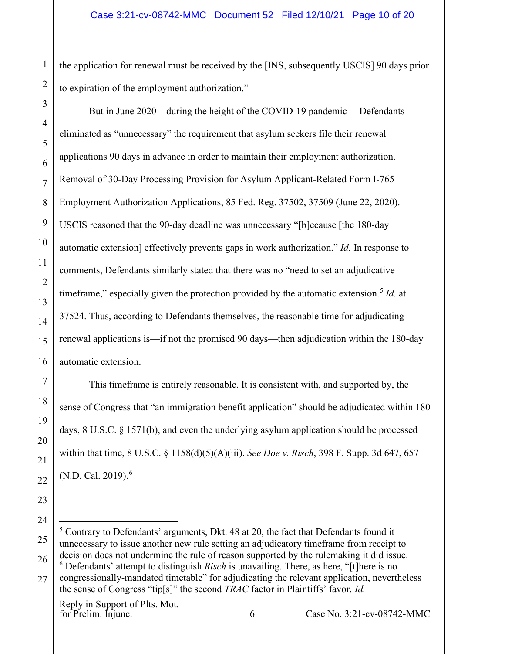the application for renewal must be received by the [INS, subsequently USCIS] 90 days prior to expiration of the employment authorization."

But in June 2020—during the height of the COVID-19 pandemic— Defendants eliminated as "unnecessary" the requirement that asylum seekers file their renewal applications 90 days in advance in order to maintain their employment authorization. Removal of 30-Day Processing Provision for Asylum Applicant-Related Form I-765 Employment Authorization Applications, 85 Fed. Reg. 37502, 37509 (June 22, 2020). USCIS reasoned that the 90-day deadline was unnecessary "[b]ecause [the 180-day automatic extension] effectively prevents gaps in work authorization." *Id.* In response to comments, Defendants similarly stated that there was no "need to set an adjudicative timeframe," especially given the protection provided by the automatic extension. [5](#page-9-0) *Id.* at 37524. Thus, according to Defendants themselves, the reasonable time for adjudicating renewal applications is—if not the promised 90 days—then adjudication within the 180-day automatic extension.

This timeframe is entirely reasonable. It is consistent with, and supported by, the sense of Congress that "an immigration benefit application" should be adjudicated within 180 days, 8 U.S.C. § 1571(b), and even the underlying asylum application should be processed within that time, 8 U.S.C. § 1158(d)(5)(A)(iii). *See Doe v. Risch*, 398 F. Supp. 3d 647, 657 (N.D. Cal. 2019). [6](#page-9-1)

Reply in Support of Plts. Mot.<br>for Prelim. Injunc.

1

2

3

4

5

6

7

8

9

10

11

12

13

14

15

16

17

18

19

20

21

22

23

24

for Prelim. Injunc. 6 Case No. 3:21-cv-08742-MMC

<span id="page-9-1"></span><span id="page-9-0"></span><sup>25</sup> 26 27  $5$  Contrary to Defendants' arguments, Dkt. 48 at 20, the fact that Defendants found it unnecessary to issue another new rule setting an adjudicatory timeframe from receipt to decision does not undermine the rule of reason supported by the rulemaking it did issue. <sup>6</sup> Defendants' attempt to distinguish *Risch* is unavailing. There, as here, "[t]here is no congressionally-mandated timetable" for adjudicating the relevant application, nevertheless the sense of Congress "tip[s]" the second *TRAC* factor in Plaintiffs' favor. *Id.*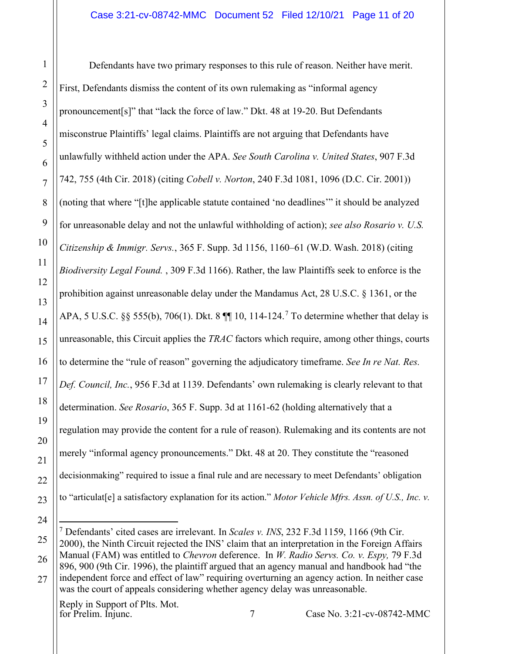Defendants have two primary responses to this rule of reason. Neither have merit. First, Defendants dismiss the content of its own rulemaking as "informal agency pronouncement[s]" that "lack the force of law." Dkt. 48 at 19-20. But Defendants misconstrue Plaintiffs' legal claims. Plaintiffs are not arguing that Defendants have unlawfully withheld action under the APA. *See South Carolina v. United States*, 907 F.3d 742, 755 (4th Cir. 2018) (citing *Cobell v. Norton*, 240 F.3d 1081, 1096 (D.C. Cir. 2001)) (noting that where "[t]he applicable statute contained 'no deadlines'" it should be analyzed for unreasonable delay and not the unlawful withholding of action); *see also Rosario v. U.S. Citizenship & Immigr. Servs.*, 365 F. Supp. 3d 1156, 1160–61 (W.D. Wash. 2018) (citing *Biodiversity Legal Found.* , 309 F.3d 1166). Rather, the law Plaintiffs seek to enforce is the prohibition against unreasonable delay under the Mandamus Act, 28 U.S.C. § 1361, or the APA, 5 U.S.C. §§ 555(b), [7](#page-10-0)06(1). Dkt. 8  $\P$  10, 114-124.<sup>7</sup> To determine whether that delay is unreasonable, this Circuit applies the *TRAC* factors which require, among other things, courts to determine the "rule of reason" governing the adjudicatory timeframe. *See In re Nat. Res. Def. Council, Inc.*, 956 F.3d at 1139. Defendants' own rulemaking is clearly relevant to that determination. *See Rosario*, 365 F. Supp. 3d at 1161-62 (holding alternatively that a regulation may provide the content for a rule of reason). Rulemaking and its contents are not merely "informal agency pronouncements." Dkt. 48 at 20. They constitute the "reasoned decisionmaking" required to issue a final rule and are necessary to meet Defendants' obligation to "articulat[e] a satisfactory explanation for its action." *Motor Vehicle Mfrs. Assn. of U.S., Inc. v.* 

1

2

3

4

5

6

7

8

9

10

11

12

13

14

15

16

17

18

19

20

21

22

23

<span id="page-10-0"></span><sup>25</sup> 26 <sup>7</sup> Defendants' cited cases are irrelevant. In *Scales v. INS*, 232 F.3d 1159, 1166 (9th Cir. 2000), the Ninth Circuit rejected the INS' claim that an interpretation in the Foreign Affairs Manual (FAM) was entitled to *Chevron* deference. In *W. Radio Servs. Co. v. Espy,* 79 F.3d 896, 900 (9th Cir. 1996), the plaintiff argued that an agency manual and handbook had "the

<sup>27</sup> independent force and effect of law" requiring overturning an agency action. In neither case was the court of appeals considering whether agency delay was unreasonable.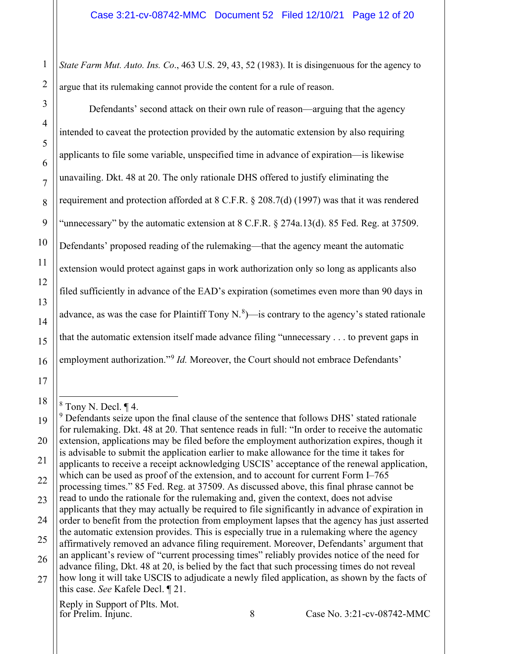2 *State Farm Mut. Auto. Ins. Co*., 463 U.S. 29, 43, 52 (1983). It is disingenuous for the agency to argue that its rulemaking cannot provide the content for a rule of reason.

Defendants' second attack on their own rule of reason—arguing that the agency intended to caveat the protection provided by the automatic extension by also requiring applicants to file some variable, unspecified time in advance of expiration—is likewise unavailing. Dkt. 48 at 20. The only rationale DHS offered to justify eliminating the requirement and protection afforded at 8 C.F.R. § 208.7(d) (1997) was that it was rendered "unnecessary" by the automatic extension at 8 C.F.R. § 274a.13(d). 85 Fed. Reg. at 37509. Defendants' proposed reading of the rulemaking—that the agency meant the automatic extension would protect against gaps in work authorization only so long as applicants also filed sufficiently in advance of the EAD's expiration (sometimes even more than 90 days in advance, as was the case for Plaintiff Tony N. $^{8}$  $^{8}$  $^{8}$ )—is contrary to the agency's stated rationale that the automatic extension itself made advance filing "unnecessary . . . to prevent gaps in employment authorization."<sup>[9](#page-11-1)</sup> *Id.* Moreover, the Court should not embrace Defendants'

1

3

4

5

6

7

8

9

10

11

12

13

14

15

16

17

<span id="page-11-0"></span>18

Reply in Support of Plts. Mot.<br>for Prelim. Injunc.

 $8$  Tony N. Decl.  $\P$  4.

<span id="page-11-1"></span><sup>19</sup> 20 21 22 23 24 25 26 27  $9$  Defendants seize upon the final clause of the sentence that follows DHS' stated rationale for rulemaking. Dkt. 48 at 20. That sentence reads in full: "In order to receive the automatic extension, applications may be filed before the employment authorization expires, though it is advisable to submit the application earlier to make allowance for the time it takes for applicants to receive a receipt acknowledging USCIS' acceptance of the renewal application, which can be used as proof of the extension, and to account for current Form I–765 processing times." 85 Fed. Reg. at 37509. As discussed above, this final phrase cannot be read to undo the rationale for the rulemaking and, given the context, does not advise applicants that they may actually be required to file significantly in advance of expiration in order to benefit from the protection from employment lapses that the agency has just asserted the automatic extension provides. This is especially true in a rulemaking where the agency affirmatively removed an advance filing requirement. Moreover, Defendants' argument that an applicant's review of "current processing times" reliably provides notice of the need for advance filing, Dkt. 48 at 20, is belied by the fact that such processing times do not reveal how long it will take USCIS to adjudicate a newly filed application, as shown by the facts of this case. *See* Kafele Decl. ¶ 21.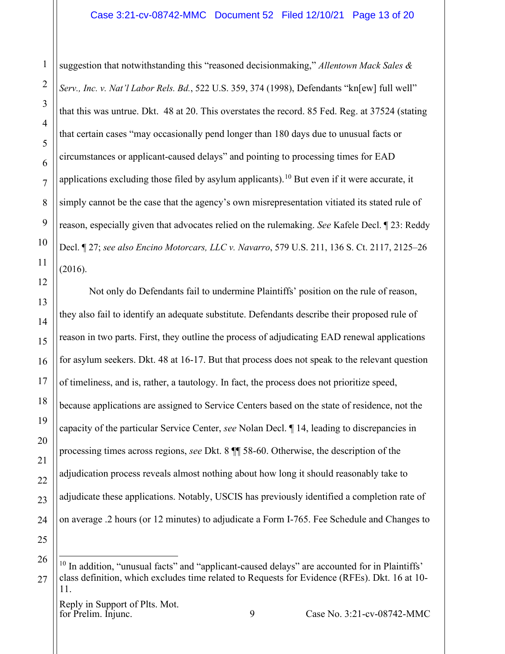suggestion that notwithstanding this "reasoned decisionmaking," *Allentown Mack Sales & Serv., Inc. v. Nat'l Labor Rels. Bd.*, 522 U.S. 359, 374 (1998), Defendants "kn[ew] full well" that this was untrue. Dkt. 48 at 20. This overstates the record. 85 Fed. Reg. at 37524 (stating that certain cases "may occasionally pend longer than 180 days due to unusual facts or circumstances or applicant-caused delays" and pointing to processing times for EAD applications excluding those filed by asylum applicants).<sup>[10](#page-12-0)</sup> But even if it were accurate, it simply cannot be the case that the agency's own misrepresentation vitiated its stated rule of reason, especially given that advocates relied on the rulemaking. *See* Kafele Decl. ¶ 23: Reddy Decl. ¶ 27; *see also Encino Motorcars, LLC v. Navarro*, 579 U.S. 211, 136 S. Ct. 2117, 2125–26 (2016).

Not only do Defendants fail to undermine Plaintiffs' position on the rule of reason, they also fail to identify an adequate substitute. Defendants describe their proposed rule of reason in two parts. First, they outline the process of adjudicating EAD renewal applications for asylum seekers. Dkt. 48 at 16-17. But that process does not speak to the relevant question of timeliness, and is, rather, a tautology. In fact, the process does not prioritize speed, because applications are assigned to Service Centers based on the state of residence, not the capacity of the particular Service Center, *see* Nolan Decl. ¶ 14, leading to discrepancies in processing times across regions, *see* Dkt. 8 ¶¶ 58-60. Otherwise, the description of the adjudication process reveals almost nothing about how long it should reasonably take to adjudicate these applications. Notably, USCIS has previously identified a completion rate of on average .2 hours (or 12 minutes) to adjudicate a Form I-765. Fee Schedule and Changes to

<span id="page-12-0"></span><sup>&</sup>lt;sup>10</sup> In addition, "unusual facts" and "applicant-caused delays" are accounted for in Plaintiffs' class definition, which excludes time related to Requests for Evidence (RFEs). Dkt. 16 at 10- 11.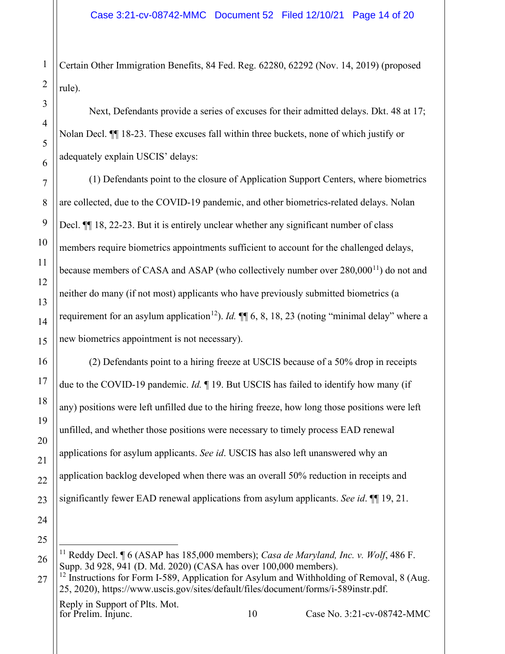Certain Other Immigration Benefits, 84 Fed. Reg. 62280, 62292 (Nov. 14, 2019) (proposed rule).

Next, Defendants provide a series of excuses for their admitted delays. Dkt. 48 at 17; Nolan Decl. ¶¶ 18-23. These excuses fall within three buckets, none of which justify or adequately explain USCIS' delays:

(1) Defendants point to the closure of Application Support Centers, where biometrics are collected, due to the COVID-19 pandemic, and other biometrics-related delays. Nolan Decl.  $\P$  18, 22-23. But it is entirely unclear whether any significant number of class members require biometrics appointments sufficient to account for the challenged delays, because members of CASA and ASAP (who collectively number over 280,000<sup>[11](#page-13-0)</sup>) do not and neither do many (if not most) applicants who have previously submitted biometrics (a requirement for an asylum application<sup>12</sup>). *Id.*  $\P\P$  6, 8, 18, 23 (noting "minimal delay" where a new biometrics appointment is not necessary).

(2) Defendants point to a hiring freeze at USCIS because of a 50% drop in receipts due to the COVID-19 pandemic. *Id.* ¶ 19. But USCIS has failed to identify how many (if any) positions were left unfilled due to the hiring freeze, how long those positions were left unfilled, and whether those positions were necessary to timely process EAD renewal applications for asylum applicants. *See id*. USCIS has also left unanswered why an application backlog developed when there was an overall 50% reduction in receipts and significantly fewer EAD renewal applications from asylum applicants. *See id*. ¶¶ 19, 21.

Reply in Support of Plts. Mot.<br>for Prelim. Injunc.

for Prelime. 10 Case No. 3:21-cv-08742-MMC

<span id="page-13-0"></span><sup>11</sup> Reddy Decl. ¶ 6 (ASAP has 185,000 members); *Casa de Maryland, Inc. v. Wolf*, 486 F. Supp. 3d 928, 941 (D. Md. 2020) (CASA has over 100,000 members).

<span id="page-13-1"></span> $12$  Instructions for Form I-589, Application for Asylum and Withholding of Removal, 8 (Aug. 25, 2020), https://www.uscis.gov/sites/default/files/document/forms/i-589instr.pdf.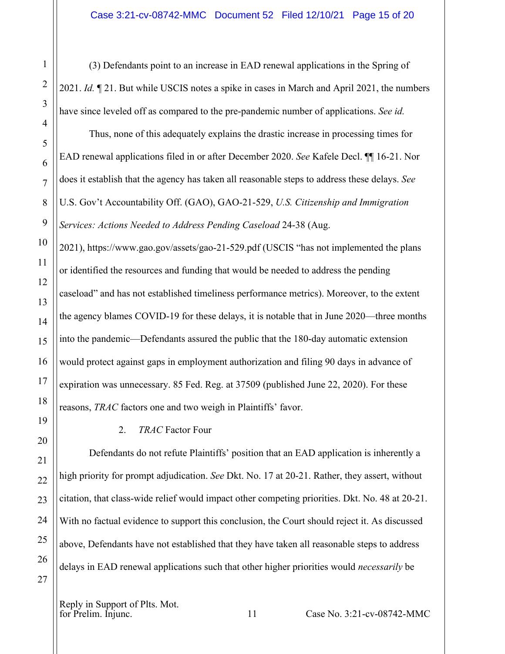(3) Defendants point to an increase in EAD renewal applications in the Spring of 2021. *Id.* ¶ 21. But while USCIS notes a spike in cases in March and April 2021, the numbers have since leveled off as compared to the pre-pandemic number of applications. *See id.*

Thus, none of this adequately explains the drastic increase in processing times for EAD renewal applications filed in or after December 2020. *See* Kafele Decl. ¶¶ 16-21. Nor does it establish that the agency has taken all reasonable steps to address these delays. *See*  U.S. Gov't Accountability Off. (GAO), GAO-21-529, *U.S. Citizenship and Immigration Services: Actions Needed to Address Pending Caseload* 24-38 (Aug.

2021), https://www.gao.gov/assets/gao-21-529.pdf (USCIS "has not implemented the plans or identified the resources and funding that would be needed to address the pending caseload" and has not established timeliness performance metrics). Moreover, to the extent the agency blames COVID-19 for these delays, it is notable that in June 2020—three months into the pandemic—Defendants assured the public that the 180-day automatic extension would protect against gaps in employment authorization and filing 90 days in advance of expiration was unnecessary. 85 Fed. Reg. at 37509 (published June 22, 2020). For these reasons, *TRAC* factors one and two weigh in Plaintiffs' favor.

## <span id="page-14-0"></span>2.*TRAC* Factor Four

Defendants do not refute Plaintiffs' position that an EAD application is inherently a high priority for prompt adjudication. *See* Dkt. No. 17 at 20-21. Rather, they assert, without citation, that class-wide relief would impact other competing priorities. Dkt. No. 48 at 20-21. With no factual evidence to support this conclusion, the Court should reject it. As discussed above, Defendants have not established that they have taken all reasonable steps to address delays in EAD renewal applications such that other higher priorities would *necessarily* be

Reply in Support of Plts. Mot.<br>for Prelim. Injunc.

1

2

3

4

5

6

7

8

9

10

11

12

13

14

15

16

17

18

19

20

21

22

23

24

25

26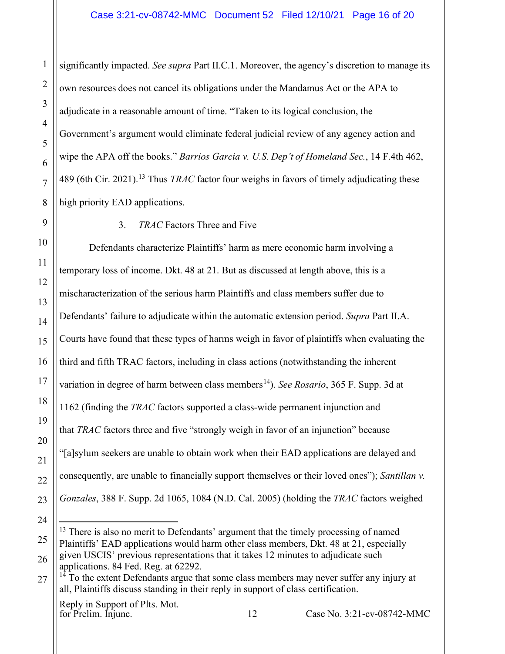significantly impacted. *See supra* Part II.C.1. Moreover, the agency's discretion to manage its own resources does not cancel its obligations under the Mandamus Act or the APA to adjudicate in a reasonable amount of time. "Taken to its logical conclusion, the Government's argument would eliminate federal judicial review of any agency action and wipe the APA off the books." *Barrios Garcia v. U.S. Dep't of Homeland Sec.*, 14 F.4th 462, 489 (6th Cir. 2021). [13](#page-15-1) Thus *TRAC* factor four weighs in favors of timely adjudicating these high priority EAD applications.

1

2

3

4

5

6

7

8

9

10

11

12

13

14

15

16

17

18

19

20

21

22

23

24

<span id="page-15-1"></span>25

<span id="page-15-0"></span>3.*TRAC* Factors Three and Five

Defendants characterize Plaintiffs' harm as mere economic harm involving a temporary loss of income. Dkt. 48 at 21. But as discussed at length above, this is a mischaracterization of the serious harm Plaintiffs and class members suffer due to Defendants' failure to adjudicate within the automatic extension period. *Supra* Part II.A. Courts have found that these types of harms weigh in favor of plaintiffs when evaluating the third and fifth TRAC factors, including in class actions (notwithstanding the inherent variation in degree of harm between class members<sup>14</sup>). *See Rosario*, 365 F. Supp. 3d at 1162 (finding the *TRAC* factors supported a class-wide permanent injunction and that *TRAC* factors three and five "strongly weigh in favor of an injunction" because "[a]sylum seekers are unable to obtain work when their EAD applications are delayed and consequently, are unable to financially support themselves or their loved ones"); *Santillan v. Gonzales*, 388 F. Supp. 2d 1065, 1084 (N.D. Cal. 2005) (holding the *TRAC* factors weighed

 $13$  There is also no merit to Defendants' argument that the timely processing of named Plaintiffs' EAD applications would harm other class members, Dkt. 48 at 21, especially given USCIS' previous representations that it takes 12 minutes to adjudicate such

<sup>26</sup> applications. 84 Fed. Reg. at 62292.

<span id="page-15-2"></span><sup>27</sup>  $14$  To the extent Defendants argue that some class members may never suffer any injury at all, Plaintiffs discuss standing in their reply in support of class certification.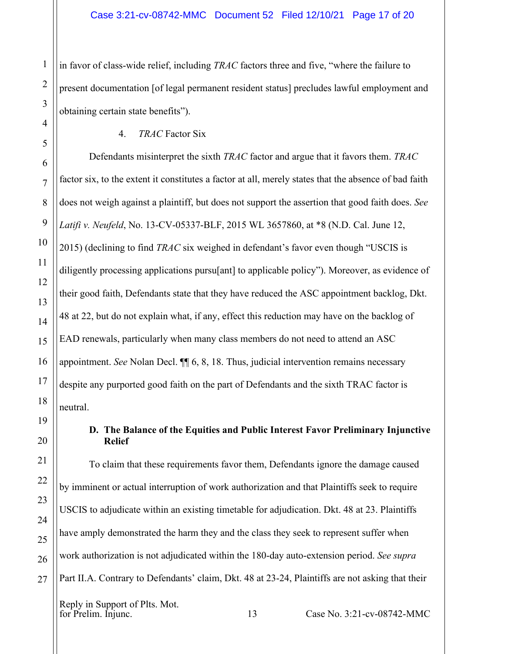in favor of class-wide relief, including *TRAC* factors three and five, "where the failure to present documentation [of legal permanent resident status] precludes lawful employment and obtaining certain state benefits").

<span id="page-16-0"></span>4.*TRAC* Factor Six

Defendants misinterpret the sixth *TRAC* factor and argue that it favors them. *TRAC*  factor six, to the extent it constitutes a factor at all, merely states that the absence of bad faith does not weigh against a plaintiff, but does not support the assertion that good faith does. *See Latifi v. Neufeld*, No. 13-CV-05337-BLF, 2015 WL 3657860, at \*8 (N.D. Cal. June 12, 2015) (declining to find *TRAC* six weighed in defendant's favor even though "USCIS is diligently processing applications pursu[ant] to applicable policy"). Moreover, as evidence of their good faith, Defendants state that they have reduced the ASC appointment backlog, Dkt. 48 at 22, but do not explain what, if any, effect this reduction may have on the backlog of EAD renewals, particularly when many class members do not need to attend an ASC appointment. *See* Nolan Decl. ¶¶ 6, 8, 18. Thus, judicial intervention remains necessary despite any purported good faith on the part of Defendants and the sixth TRAC factor is neutral.

### <span id="page-16-1"></span>**D. The Balance of the Equities and Public Interest Favor Preliminary Injunctive Relief**

To claim that these requirements favor them, Defendants ignore the damage caused by imminent or actual interruption of work authorization and that Plaintiffs seek to require USCIS to adjudicate within an existing timetable for adjudication. Dkt. 48 at 23. Plaintiffs have amply demonstrated the harm they and the class they seek to represent suffer when work authorization is not adjudicated within the 180-day auto-extension period. *See supra* Part II.A. Contrary to Defendants' claim, Dkt. 48 at 23-24, Plaintiffs are not asking that their

for Prelime. 13 Case No. 3:21-cv-08742-MMC

1

2

3

4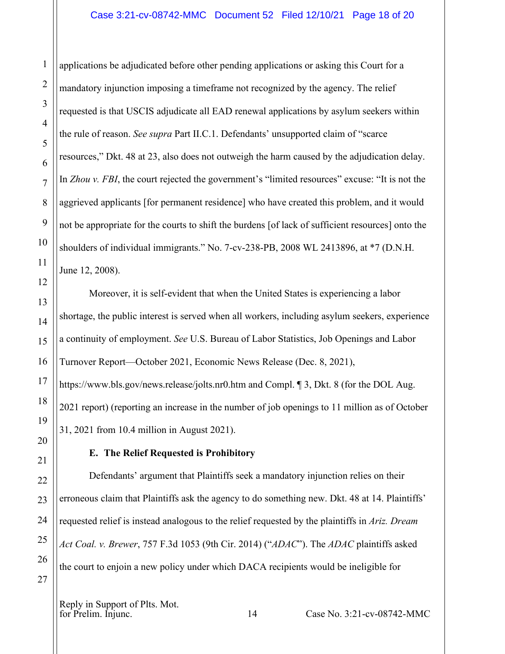applications be adjudicated before other pending applications or asking this Court for a mandatory injunction imposing a timeframe not recognized by the agency. The relief requested is that USCIS adjudicate all EAD renewal applications by asylum seekers within the rule of reason. *See supra* Part II.C.1. Defendants' unsupported claim of "scarce resources," Dkt. 48 at 23, also does not outweigh the harm caused by the adjudication delay. In *Zhou v. FBI*, the court rejected the government's "limited resources" excuse: "It is not the aggrieved applicants [for permanent residence] who have created this problem, and it would not be appropriate for the courts to shift the burdens [of lack of sufficient resources] onto the shoulders of individual immigrants." No. 7-cv-238-PB, 2008 WL 2413896, at \*7 (D.N.H. June 12, 2008).

Moreover, it is self-evident that when the United States is experiencing a labor shortage, the public interest is served when all workers, including asylum seekers, experience a continuity of employment. *See* U.S. Bureau of Labor Statistics, Job Openings and Labor Turnover Report—October 2021, Economic News Release (Dec. 8, 2021), https://www.bls.gov/news.release/jolts.nr0.htm and Compl. 1 3, Dkt. 8 (for the DOL Aug.

2021 report) (reporting an increase in the number of job openings to 11 million as of October 31, 2021 from 10.4 million in August 2021).

## **E. The Relief Requested is Prohibitory**

<span id="page-17-0"></span>Defendants' argument that Plaintiffs seek a mandatory injunction relies on their erroneous claim that Plaintiffs ask the agency to do something new. Dkt. 48 at 14. Plaintiffs' requested relief is instead analogous to the relief requested by the plaintiffs in *Ariz. Dream Act Coal. v. Brewer*, 757 F.3d 1053 (9th Cir. 2014) ("*ADAC*"). The *ADAC* plaintiffs asked the court to enjoin a new policy under which DACA recipients would be ineligible for

Reply in Support of Plts. Mot.<br>for Prelim. Injunc.

1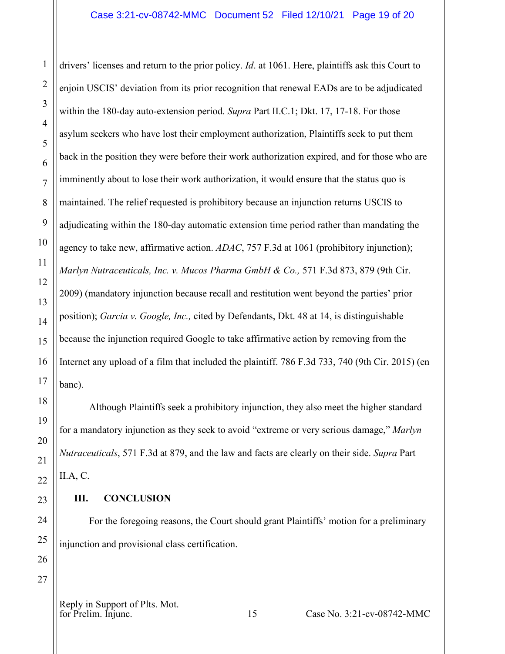drivers' licenses and return to the prior policy. *Id*. at 1061. Here, plaintiffs ask this Court to enjoin USCIS' deviation from its prior recognition that renewal EADs are to be adjudicated within the 180-day auto-extension period. *Supra* Part II.C.1; Dkt. 17, 17-18. For those asylum seekers who have lost their employment authorization, Plaintiffs seek to put them back in the position they were before their work authorization expired, and for those who are imminently about to lose their work authorization, it would ensure that the status quo is maintained. The relief requested is prohibitory because an injunction returns USCIS to adjudicating within the 180-day automatic extension time period rather than mandating the agency to take new, affirmative action. *ADAC*, 757 F.3d at 1061 (prohibitory injunction); *Marlyn Nutraceuticals, Inc. v. Mucos Pharma GmbH & Co.,* 571 F.3d 873, 879 (9th Cir. 2009) (mandatory injunction because recall and restitution went beyond the parties' prior position); *Garcia v. Google, Inc.,* cited by Defendants, Dkt. 48 at 14, is distinguishable because the injunction required Google to take affirmative action by removing from the Internet any upload of a film that included the plaintiff. 786 F.3d 733, 740 (9th Cir. 2015) (en banc).

Although Plaintiffs seek a prohibitory injunction, they also meet the higher standard for a mandatory injunction as they seek to avoid "extreme or very serious damage," *Marlyn Nutraceuticals*, 571 F.3d at 879, and the law and facts are clearly on their side. *Supra* Part II.A, C.

#### <span id="page-18-0"></span>**III. CONCLUSION**

For the foregoing reasons, the Court should grant Plaintiffs' motion for a preliminary injunction and provisional class certification.

Reply in Support of Plts. Mot.<br>for Prelim. Injunc.

1